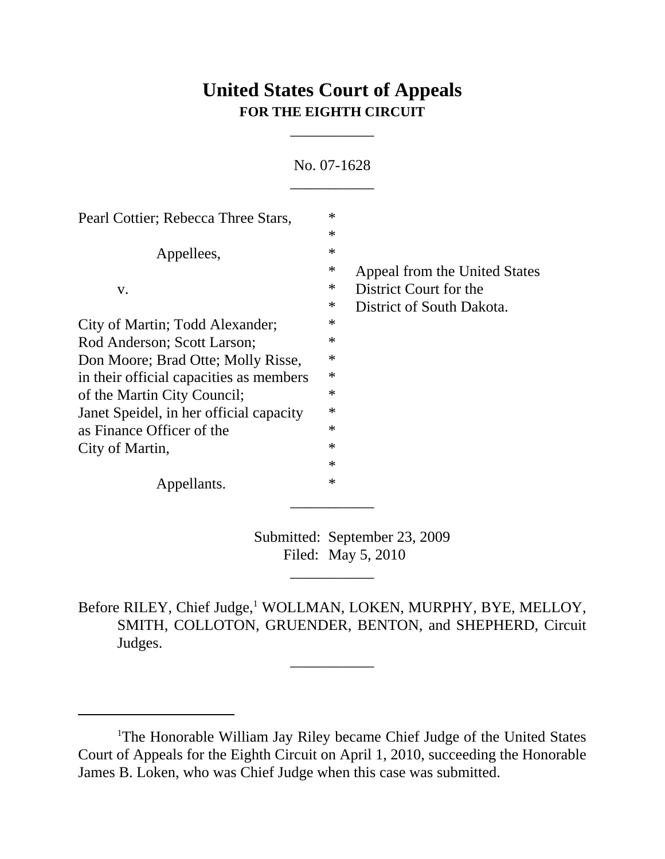# **United States Court of Appeals FOR THE EIGHTH CIRCUIT**

\_\_\_\_\_\_\_\_\_\_\_

No. 07-1628

| Pearl Cottier; Rebecca Three Stars,     | $\ast$ |                               |
|-----------------------------------------|--------|-------------------------------|
|                                         | $\ast$ |                               |
| Appellees,                              | $\ast$ |                               |
|                                         | ∗      | Appeal from the United States |
| V.                                      | $\ast$ | District Court for the        |
|                                         | $\ast$ | District of South Dakota.     |
| City of Martin; Todd Alexander;         | $\ast$ |                               |
| Rod Anderson; Scott Larson;             | $\ast$ |                               |
| Don Moore; Brad Otte; Molly Risse,      | $\ast$ |                               |
| in their official capacities as members | $\ast$ |                               |
| of the Martin City Council;             | $\ast$ |                               |
| Janet Speidel, in her official capacity | $\ast$ |                               |
| as Finance Officer of the               | $\ast$ |                               |
| City of Martin,                         | $\ast$ |                               |
|                                         | $\ast$ |                               |
| Appellants.                             | $\ast$ |                               |
|                                         |        |                               |

Submitted: September 23, 2009 Filed: May 5, 2010

Before RILEY, Chief Judge,<sup>1</sup> WOLLMAN, LOKEN, MURPHY, BYE, MELLOY, SMITH, COLLOTON, GRUENDER, BENTON, and SHEPHERD, Circuit Judges.

\_\_\_\_\_\_\_\_\_\_\_

\_\_\_\_\_\_\_\_\_\_\_

<sup>&</sup>lt;sup>1</sup>The Honorable William Jay Riley became Chief Judge of the United States Court of Appeals for the Eighth Circuit on April 1, 2010, succeeding the Honorable James B. Loken, who was Chief Judge when this case was submitted.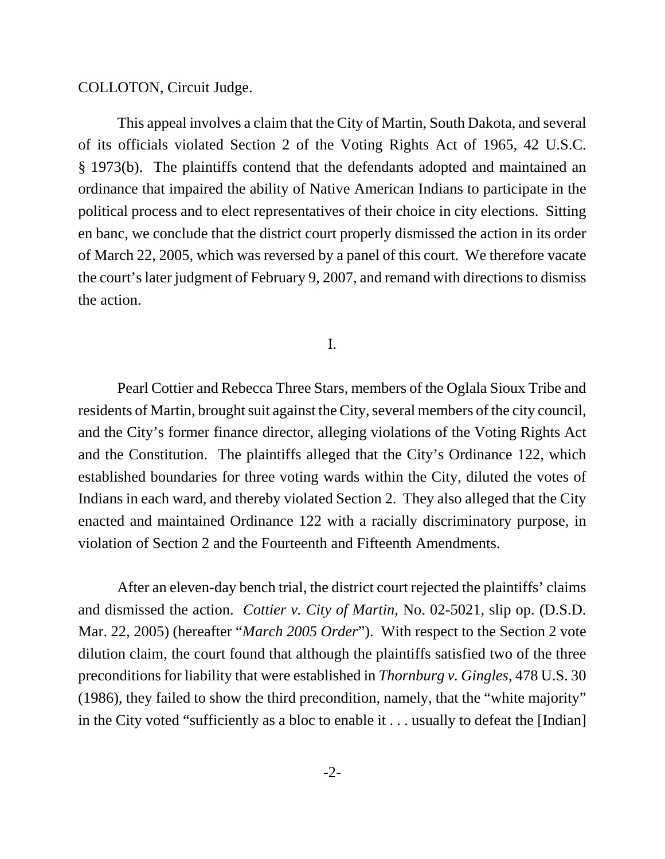COLLOTON, Circuit Judge.

This appeal involves a claim that the City of Martin, South Dakota, and several of its officials violated Section 2 of the Voting Rights Act of 1965, 42 U.S.C. § 1973(b). The plaintiffs contend that the defendants adopted and maintained an ordinance that impaired the ability of Native American Indians to participate in the political process and to elect representatives of their choice in city elections. Sitting en banc, we conclude that the district court properly dismissed the action in its order of March 22, 2005, which was reversed by a panel of this court. We therefore vacate the court's later judgment of February 9, 2007, and remand with directions to dismiss the action.

I.

Pearl Cottier and Rebecca Three Stars, members of the Oglala Sioux Tribe and residents of Martin, brought suit against the City, several members of the city council, and the City's former finance director, alleging violations of the Voting Rights Act and the Constitution. The plaintiffs alleged that the City's Ordinance 122, which established boundaries for three voting wards within the City, diluted the votes of Indians in each ward, and thereby violated Section 2. They also alleged that the City enacted and maintained Ordinance 122 with a racially discriminatory purpose, in violation of Section 2 and the Fourteenth and Fifteenth Amendments.

After an eleven-day bench trial, the district court rejected the plaintiffs' claims and dismissed the action. *Cottier v. City of Martin*, No. 02-5021, slip op. (D.S.D. Mar. 22, 2005) (hereafter "*March 2005 Order*"). With respect to the Section 2 vote dilution claim, the court found that although the plaintiffs satisfied two of the three preconditions for liability that were established in *Thornburg v. Gingles*, 478 U.S. 30 (1986), they failed to show the third precondition, namely, that the "white majority" in the City voted "sufficiently as a bloc to enable it . . . usually to defeat the [Indian]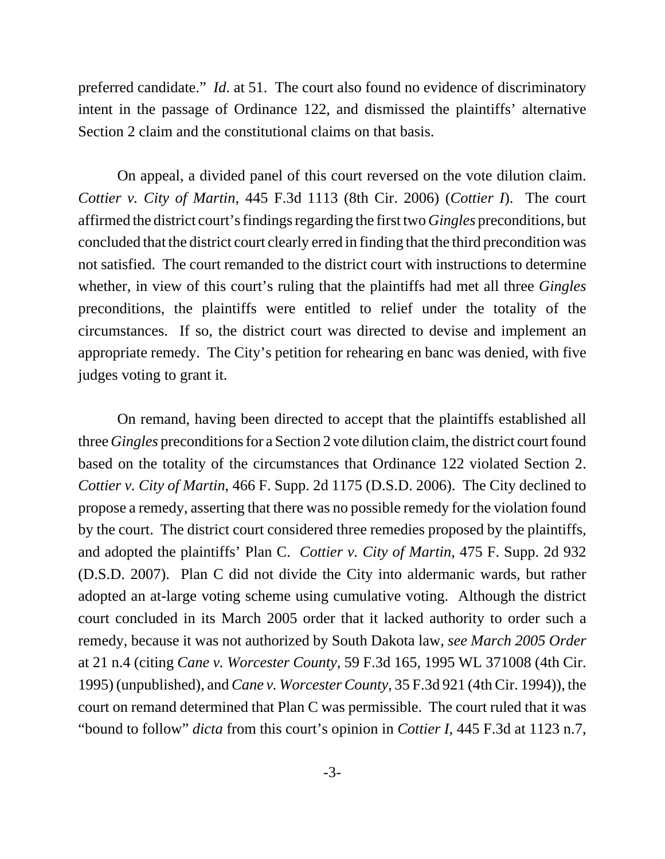preferred candidate." *Id*. at 51. The court also found no evidence of discriminatory intent in the passage of Ordinance 122, and dismissed the plaintiffs' alternative Section 2 claim and the constitutional claims on that basis.

On appeal, a divided panel of this court reversed on the vote dilution claim. *Cottier v. City of Martin*, 445 F.3d 1113 (8th Cir. 2006) (*Cottier I*). The court affirmed the district court's findings regarding the first two *Gingles* preconditions, but concluded that the district court clearly erred in finding that the third precondition was not satisfied. The court remanded to the district court with instructions to determine whether, in view of this court's ruling that the plaintiffs had met all three *Gingles* preconditions, the plaintiffs were entitled to relief under the totality of the circumstances. If so, the district court was directed to devise and implement an appropriate remedy. The City's petition for rehearing en banc was denied, with five judges voting to grant it.

On remand, having been directed to accept that the plaintiffs established all three *Gingles* preconditions for a Section 2 vote dilution claim, the district court found based on the totality of the circumstances that Ordinance 122 violated Section 2. *Cottier v. City of Martin*, 466 F. Supp. 2d 1175 (D.S.D. 2006). The City declined to propose a remedy, asserting that there was no possible remedy for the violation found by the court. The district court considered three remedies proposed by the plaintiffs, and adopted the plaintiffs' Plan C. *Cottier v. City of Martin*, 475 F. Supp. 2d 932 (D.S.D. 2007). Plan C did not divide the City into aldermanic wards, but rather adopted an at-large voting scheme using cumulative voting. Although the district court concluded in its March 2005 order that it lacked authority to order such a remedy, because it was not authorized by South Dakota law, *see March 2005 Order* at 21 n.4 (citing *Cane v. Worcester County*, 59 F.3d 165, 1995 WL 371008 (4th Cir. 1995) (unpublished), and *Cane v. Worcester County*, 35 F.3d 921 (4th Cir. 1994)), the court on remand determined that Plan C was permissible. The court ruled that it was "bound to follow" *dicta* from this court's opinion in *Cottier I*, 445 F.3d at 1123 n.7,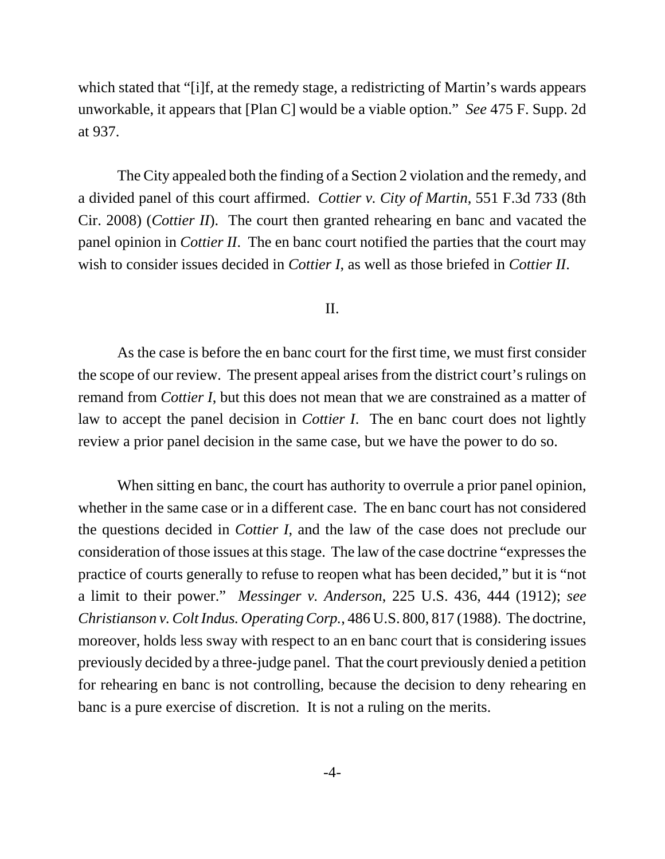which stated that "[i]f, at the remedy stage, a redistricting of Martin's wards appears unworkable, it appears that [Plan C] would be a viable option." *See* 475 F. Supp. 2d at 937.

The City appealed both the finding of a Section 2 violation and the remedy, and a divided panel of this court affirmed. *Cottier v. City of Martin*, 551 F.3d 733 (8th Cir. 2008) (*Cottier II*). The court then granted rehearing en banc and vacated the panel opinion in *Cottier II*. The en banc court notified the parties that the court may wish to consider issues decided in *Cottier I*, as well as those briefed in *Cottier II*.

#### II.

As the case is before the en banc court for the first time, we must first consider the scope of our review. The present appeal arises from the district court's rulings on remand from *Cottier I*, but this does not mean that we are constrained as a matter of law to accept the panel decision in *Cottier I*. The en banc court does not lightly review a prior panel decision in the same case, but we have the power to do so.

When sitting en banc, the court has authority to overrule a prior panel opinion, whether in the same case or in a different case. The en banc court has not considered the questions decided in *Cottier I*, and the law of the case does not preclude our consideration of those issues at this stage. The law of the case doctrine "expresses the practice of courts generally to refuse to reopen what has been decided," but it is "not a limit to their power." *Messinger v. Anderson*, 225 U.S. 436, 444 (1912); *see Christianson v. Colt Indus. Operating Corp.*, 486 U.S. 800, 817 (1988). The doctrine, moreover, holds less sway with respect to an en banc court that is considering issues previously decided by a three-judge panel. That the court previously denied a petition for rehearing en banc is not controlling, because the decision to deny rehearing en banc is a pure exercise of discretion. It is not a ruling on the merits.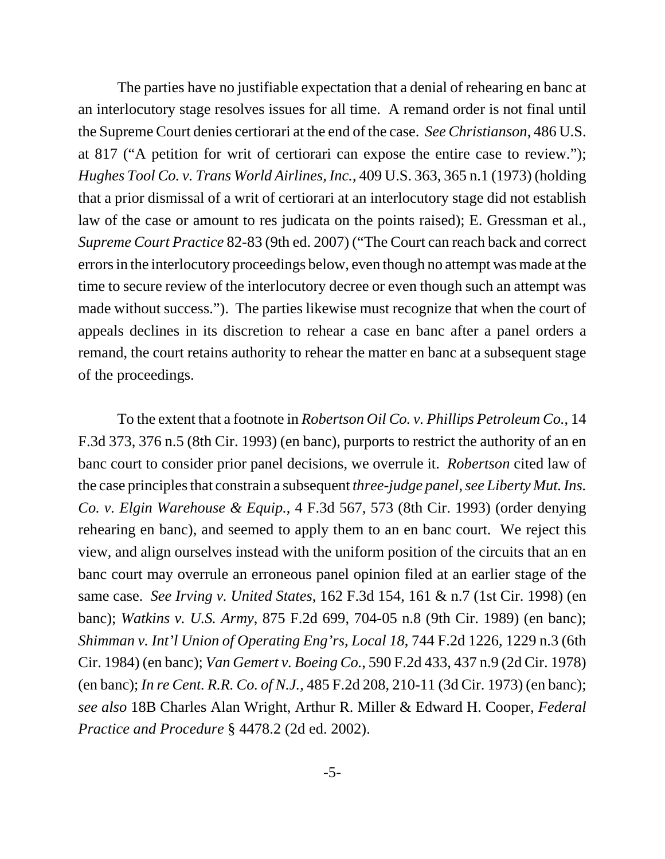The parties have no justifiable expectation that a denial of rehearing en banc at an interlocutory stage resolves issues for all time. A remand order is not final until the Supreme Court denies certiorari at the end of the case. *See Christianson*, 486 U.S. at 817 ("A petition for writ of certiorari can expose the entire case to review."); *Hughes Tool Co. v. Trans World Airlines, Inc.*, 409 U.S. 363, 365 n.1 (1973) (holding that a prior dismissal of a writ of certiorari at an interlocutory stage did not establish law of the case or amount to res judicata on the points raised); E. Gressman et al., *Supreme Court Practice* 82-83 (9th ed. 2007) ("The Court can reach back and correct errors in the interlocutory proceedings below, even though no attempt was made at the time to secure review of the interlocutory decree or even though such an attempt was made without success."). The parties likewise must recognize that when the court of appeals declines in its discretion to rehear a case en banc after a panel orders a remand, the court retains authority to rehear the matter en banc at a subsequent stage of the proceedings.

To the extent that a footnote in *Robertson Oil Co. v. Phillips Petroleum Co.*, 14 F.3d 373, 376 n.5 (8th Cir. 1993) (en banc), purports to restrict the authority of an en banc court to consider prior panel decisions, we overrule it. *Robertson* cited law of the case principles that constrain a subsequent *three-judge panel*, *see Liberty Mut. Ins. Co. v. Elgin Warehouse & Equip.*, 4 F.3d 567, 573 (8th Cir. 1993) (order denying rehearing en banc), and seemed to apply them to an en banc court. We reject this view, and align ourselves instead with the uniform position of the circuits that an en banc court may overrule an erroneous panel opinion filed at an earlier stage of the same case. *See Irving v. United States*, 162 F.3d 154, 161 & n.7 (1st Cir. 1998) (en banc); *Watkins v. U.S. Army*, 875 F.2d 699, 704-05 n.8 (9th Cir. 1989) (en banc); *Shimman v. Int'l Union of Operating Eng'rs, Local 18*, 744 F.2d 1226, 1229 n.3 (6th Cir. 1984) (en banc); *Van Gemert v. Boeing Co.*, 590 F.2d 433, 437 n.9 (2d Cir. 1978) (en banc); *In re Cent. R.R. Co. of N.J.*, 485 F.2d 208, 210-11 (3d Cir. 1973) (en banc); *see also* 18B Charles Alan Wright, Arthur R. Miller & Edward H. Cooper, *Federal Practice and Procedure* § 4478.2 (2d ed. 2002).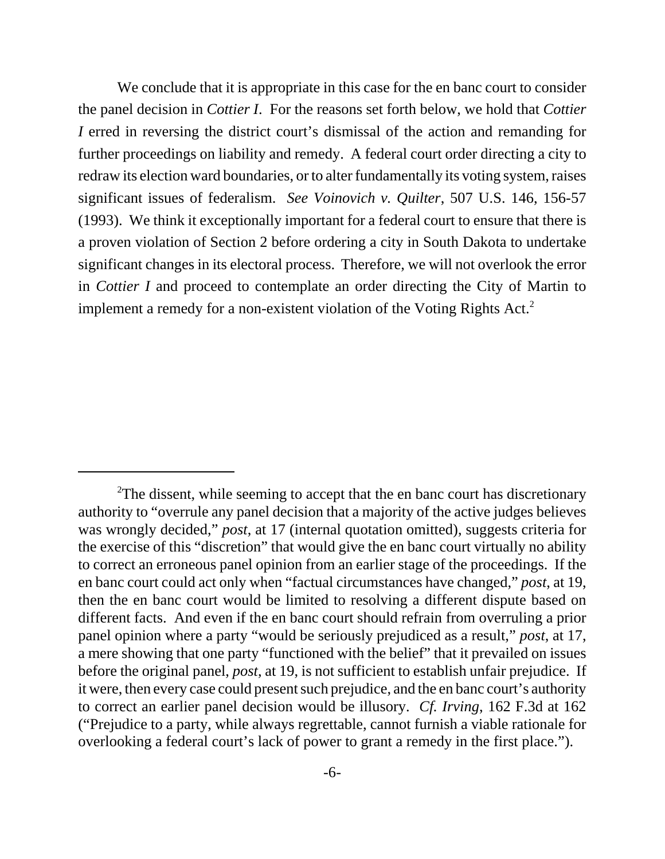We conclude that it is appropriate in this case for the en banc court to consider the panel decision in *Cottier I*. For the reasons set forth below, we hold that *Cottier I* erred in reversing the district court's dismissal of the action and remanding for further proceedings on liability and remedy. A federal court order directing a city to redraw its election ward boundaries, or to alter fundamentally its voting system, raises significant issues of federalism. *See Voinovich v. Quilter*, 507 U.S. 146, 156-57 (1993). We think it exceptionally important for a federal court to ensure that there is a proven violation of Section 2 before ordering a city in South Dakota to undertake significant changes in its electoral process. Therefore, we will not overlook the error in *Cottier I* and proceed to contemplate an order directing the City of Martin to implement a remedy for a non-existent violation of the Voting Rights Act.<sup>2</sup>

 $2$ The dissent, while seeming to accept that the en banc court has discretionary authority to "overrule any panel decision that a majority of the active judges believes was wrongly decided," *post*, at 17 (internal quotation omitted), suggests criteria for the exercise of this "discretion" that would give the en banc court virtually no ability to correct an erroneous panel opinion from an earlier stage of the proceedings. If the en banc court could act only when "factual circumstances have changed," *post*, at 19, then the en banc court would be limited to resolving a different dispute based on different facts. And even if the en banc court should refrain from overruling a prior panel opinion where a party "would be seriously prejudiced as a result," *post*, at 17, a mere showing that one party "functioned with the belief" that it prevailed on issues before the original panel, *post*, at 19, is not sufficient to establish unfair prejudice. If it were, then every case could present such prejudice, and the en banc court's authority to correct an earlier panel decision would be illusory. *Cf. Irving*, 162 F.3d at 162 ("Prejudice to a party, while always regrettable, cannot furnish a viable rationale for overlooking a federal court's lack of power to grant a remedy in the first place.").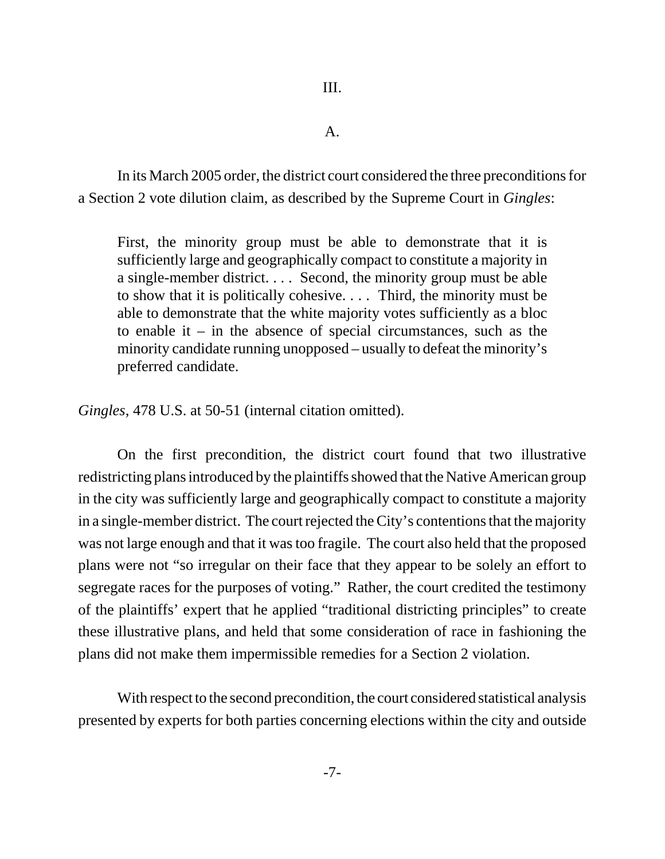A.

In its March 2005 order, the district court considered the three preconditions for a Section 2 vote dilution claim, as described by the Supreme Court in *Gingles*:

First, the minority group must be able to demonstrate that it is sufficiently large and geographically compact to constitute a majority in a single-member district. . . . Second, the minority group must be able to show that it is politically cohesive. . . . Third, the minority must be able to demonstrate that the white majority votes sufficiently as a bloc to enable it – in the absence of special circumstances, such as the minority candidate running unopposed – usually to defeat the minority's preferred candidate.

*Gingles*, 478 U.S. at 50-51 (internal citation omitted).

On the first precondition, the district court found that two illustrative redistricting plans introduced by the plaintiffs showed that the Native American group in the city was sufficiently large and geographically compact to constitute a majority in a single-member district. The court rejected the City's contentions that the majority was not large enough and that it was too fragile. The court also held that the proposed plans were not "so irregular on their face that they appear to be solely an effort to segregate races for the purposes of voting." Rather, the court credited the testimony of the plaintiffs' expert that he applied "traditional districting principles" to create these illustrative plans, and held that some consideration of race in fashioning the plans did not make them impermissible remedies for a Section 2 violation.

With respect to the second precondition, the court considered statistical analysis presented by experts for both parties concerning elections within the city and outside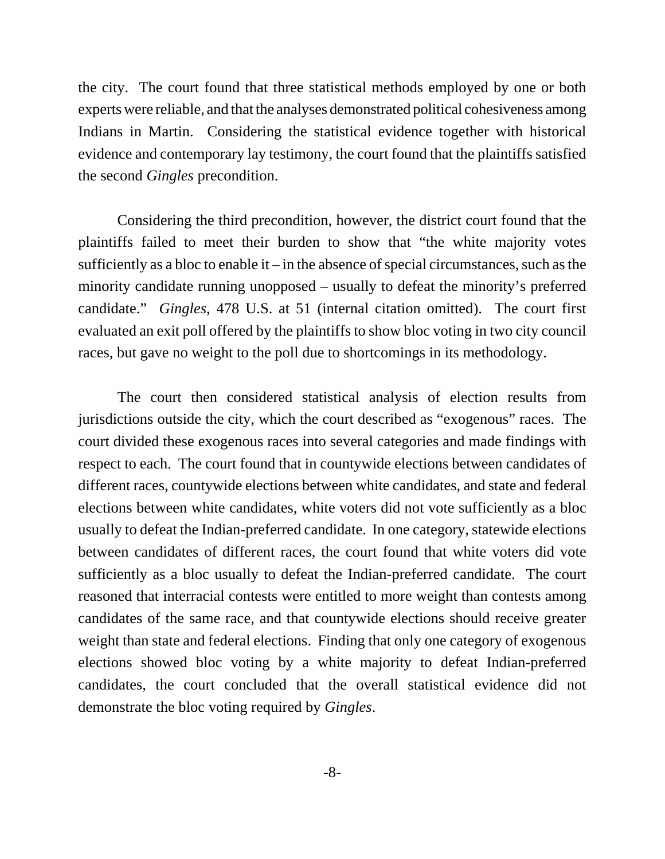the city. The court found that three statistical methods employed by one or both experts were reliable, and that the analyses demonstrated political cohesiveness among Indians in Martin. Considering the statistical evidence together with historical evidence and contemporary lay testimony, the court found that the plaintiffs satisfied the second *Gingles* precondition.

Considering the third precondition, however, the district court found that the plaintiffs failed to meet their burden to show that "the white majority votes sufficiently as a bloc to enable it – in the absence of special circumstances, such as the minority candidate running unopposed – usually to defeat the minority's preferred candidate." *Gingles*, 478 U.S. at 51 (internal citation omitted). The court first evaluated an exit poll offered by the plaintiffs to show bloc voting in two city council races, but gave no weight to the poll due to shortcomings in its methodology.

The court then considered statistical analysis of election results from jurisdictions outside the city, which the court described as "exogenous" races. The court divided these exogenous races into several categories and made findings with respect to each. The court found that in countywide elections between candidates of different races, countywide elections between white candidates, and state and federal elections between white candidates, white voters did not vote sufficiently as a bloc usually to defeat the Indian-preferred candidate. In one category, statewide elections between candidates of different races, the court found that white voters did vote sufficiently as a bloc usually to defeat the Indian-preferred candidate. The court reasoned that interracial contests were entitled to more weight than contests among candidates of the same race, and that countywide elections should receive greater weight than state and federal elections. Finding that only one category of exogenous elections showed bloc voting by a white majority to defeat Indian-preferred candidates, the court concluded that the overall statistical evidence did not demonstrate the bloc voting required by *Gingles*.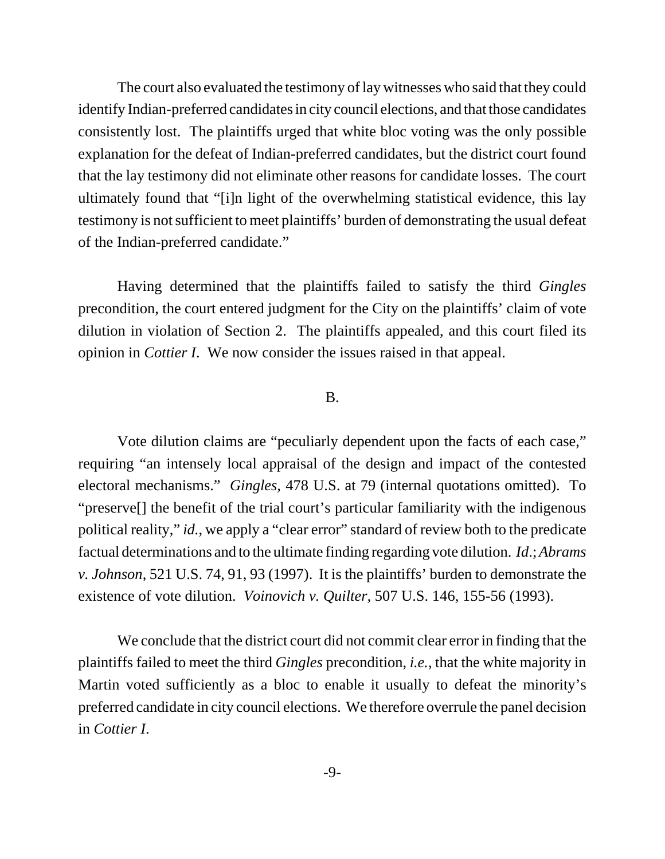The court also evaluated the testimony of lay witnesses who said that they could identify Indian-preferred candidates in city council elections, and that those candidates consistently lost. The plaintiffs urged that white bloc voting was the only possible explanation for the defeat of Indian-preferred candidates, but the district court found that the lay testimony did not eliminate other reasons for candidate losses. The court ultimately found that "[i]n light of the overwhelming statistical evidence, this lay testimony is not sufficient to meet plaintiffs' burden of demonstrating the usual defeat of the Indian-preferred candidate."

Having determined that the plaintiffs failed to satisfy the third *Gingles* precondition, the court entered judgment for the City on the plaintiffs' claim of vote dilution in violation of Section 2. The plaintiffs appealed, and this court filed its opinion in *Cottier I*. We now consider the issues raised in that appeal.

#### B.

Vote dilution claims are "peculiarly dependent upon the facts of each case," requiring "an intensely local appraisal of the design and impact of the contested electoral mechanisms." *Gingles,* 478 U.S. at 79 (internal quotations omitted). To "preserve[] the benefit of the trial court's particular familiarity with the indigenous political reality," *id.*, we apply a "clear error" standard of review both to the predicate factual determinations and to the ultimate finding regarding vote dilution. *Id*.; *Abrams v. Johnson*, 521 U.S. 74, 91, 93 (1997). It is the plaintiffs' burden to demonstrate the existence of vote dilution. *Voinovich v. Quilter,* 507 U.S. 146, 155-56 (1993).

We conclude that the district court did not commit clear error in finding that the plaintiffs failed to meet the third *Gingles* precondition, *i.e.*, that the white majority in Martin voted sufficiently as a bloc to enable it usually to defeat the minority's preferred candidate in city council elections. We therefore overrule the panel decision in *Cottier I*.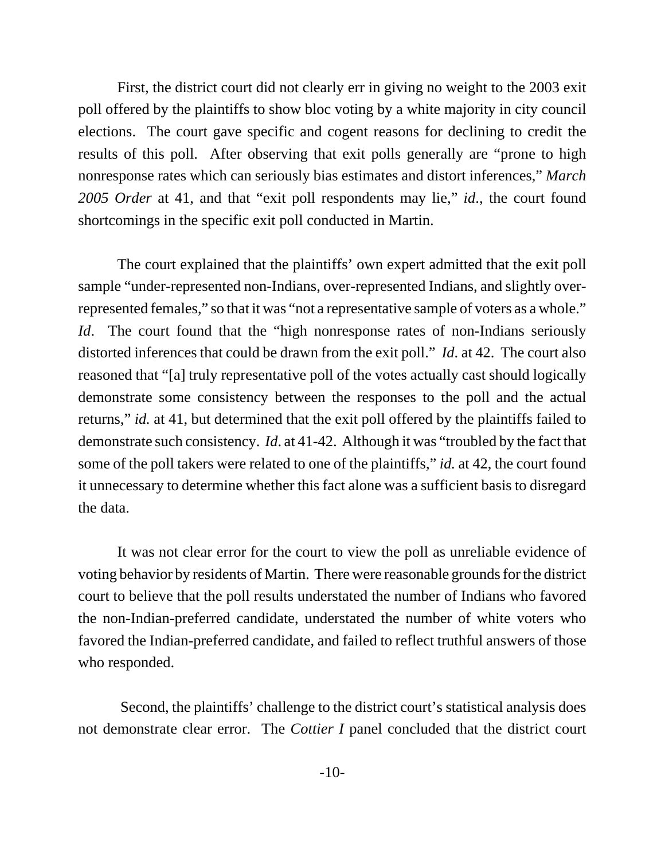First, the district court did not clearly err in giving no weight to the 2003 exit poll offered by the plaintiffs to show bloc voting by a white majority in city council elections. The court gave specific and cogent reasons for declining to credit the results of this poll. After observing that exit polls generally are "prone to high nonresponse rates which can seriously bias estimates and distort inferences," *March 2005 Order* at 41, and that "exit poll respondents may lie," *id*., the court found shortcomings in the specific exit poll conducted in Martin.

The court explained that the plaintiffs' own expert admitted that the exit poll sample "under-represented non-Indians, over-represented Indians, and slightly overrepresented females," so that it was "not a representative sample of voters as a whole." *Id.* The court found that the "high nonresponse rates of non-Indians seriously distorted inferences that could be drawn from the exit poll." *Id*. at 42. The court also reasoned that "[a] truly representative poll of the votes actually cast should logically demonstrate some consistency between the responses to the poll and the actual returns," *id.* at 41, but determined that the exit poll offered by the plaintiffs failed to demonstrate such consistency. *Id*. at 41-42. Although it was "troubled by the fact that some of the poll takers were related to one of the plaintiffs," *id.* at 42, the court found it unnecessary to determine whether this fact alone was a sufficient basis to disregard the data.

It was not clear error for the court to view the poll as unreliable evidence of voting behavior by residents of Martin. There were reasonable grounds for the district court to believe that the poll results understated the number of Indians who favored the non-Indian-preferred candidate, understated the number of white voters who favored the Indian-preferred candidate, and failed to reflect truthful answers of those who responded.

 Second, the plaintiffs' challenge to the district court's statistical analysis does not demonstrate clear error. The *Cottier I* panel concluded that the district court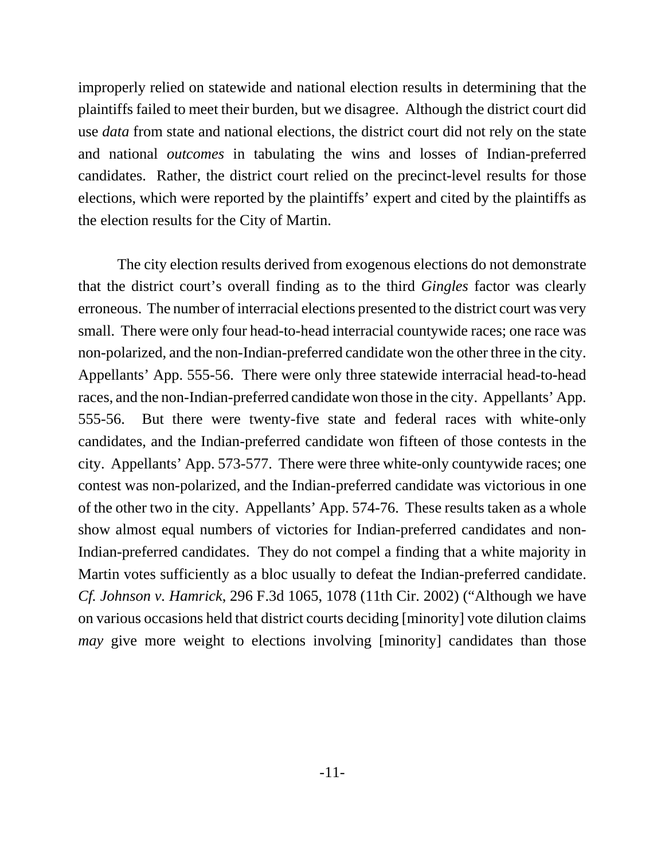improperly relied on statewide and national election results in determining that the plaintiffs failed to meet their burden, but we disagree. Although the district court did use *data* from state and national elections, the district court did not rely on the state and national *outcomes* in tabulating the wins and losses of Indian-preferred candidates. Rather, the district court relied on the precinct-level results for those elections, which were reported by the plaintiffs' expert and cited by the plaintiffs as the election results for the City of Martin.

The city election results derived from exogenous elections do not demonstrate that the district court's overall finding as to the third *Gingles* factor was clearly erroneous. The number of interracial elections presented to the district court was very small. There were only four head-to-head interracial countywide races; one race was non-polarized, and the non-Indian-preferred candidate won the other three in the city. Appellants' App. 555-56. There were only three statewide interracial head-to-head races, and the non-Indian-preferred candidate won those in the city. Appellants' App. 555-56. But there were twenty-five state and federal races with white-only candidates, and the Indian-preferred candidate won fifteen of those contests in the city. Appellants' App. 573-577. There were three white-only countywide races; one contest was non-polarized, and the Indian-preferred candidate was victorious in one of the other two in the city. Appellants' App. 574-76. These results taken as a whole show almost equal numbers of victories for Indian-preferred candidates and non-Indian-preferred candidates. They do not compel a finding that a white majority in Martin votes sufficiently as a bloc usually to defeat the Indian-preferred candidate. *Cf. Johnson v. Hamrick*, 296 F.3d 1065, 1078 (11th Cir. 2002) ("Although we have on various occasions held that district courts deciding [minority] vote dilution claims *may* give more weight to elections involving [minority] candidates than those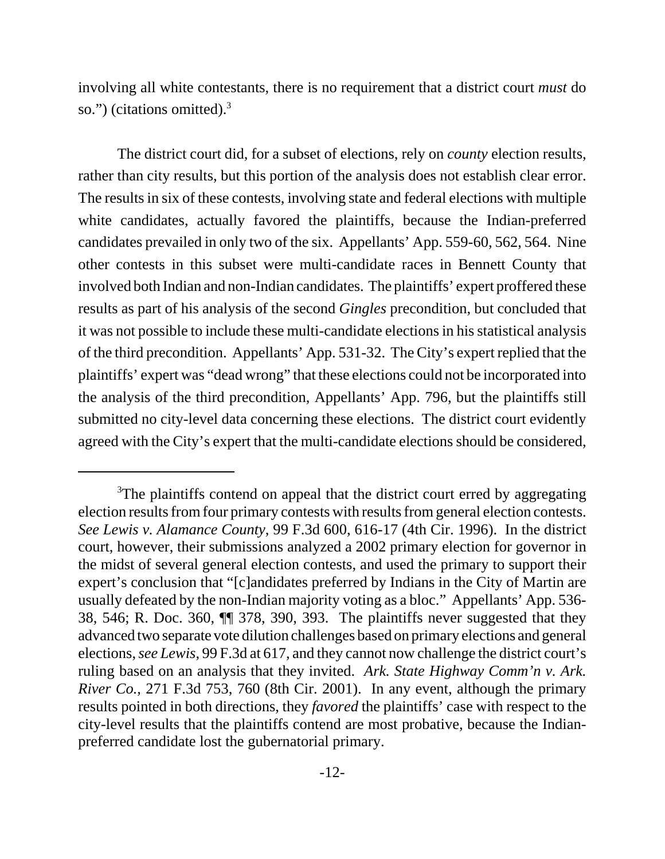involving all white contestants, there is no requirement that a district court *must* do so.") (citations omitted). $3$ 

The district court did, for a subset of elections, rely on *county* election results, rather than city results, but this portion of the analysis does not establish clear error. The results in six of these contests, involving state and federal elections with multiple white candidates, actually favored the plaintiffs, because the Indian-preferred candidates prevailed in only two of the six. Appellants' App. 559-60, 562, 564. Nine other contests in this subset were multi-candidate races in Bennett County that involved both Indian and non-Indian candidates. The plaintiffs' expert proffered these results as part of his analysis of the second *Gingles* precondition, but concluded that it was not possible to include these multi-candidate elections in his statistical analysis of the third precondition. Appellants' App. 531-32. The City's expert replied that the plaintiffs' expert was "dead wrong" that these elections could not be incorporated into the analysis of the third precondition, Appellants' App. 796, but the plaintiffs still submitted no city-level data concerning these elections. The district court evidently agreed with the City's expert that the multi-candidate elections should be considered,

<sup>&</sup>lt;sup>3</sup>The plaintiffs contend on appeal that the district court erred by aggregating election results from four primary contests with results from general election contests. *See Lewis v. Alamance County*, 99 F.3d 600, 616-17 (4th Cir. 1996). In the district court, however, their submissions analyzed a 2002 primary election for governor in the midst of several general election contests, and used the primary to support their expert's conclusion that "[c]andidates preferred by Indians in the City of Martin are usually defeated by the non-Indian majority voting as a bloc." Appellants' App. 536- 38, 546; R. Doc. 360, ¶¶ 378, 390, 393. The plaintiffs never suggested that they advanced two separate vote dilution challenges based on primary elections and general elections, *see Lewis*, 99 F.3d at 617, and they cannot now challenge the district court's ruling based on an analysis that they invited. *Ark. State Highway Comm'n v. Ark. River Co.*, 271 F.3d 753, 760 (8th Cir. 2001). In any event, although the primary results pointed in both directions, they *favored* the plaintiffs' case with respect to the city-level results that the plaintiffs contend are most probative, because the Indianpreferred candidate lost the gubernatorial primary.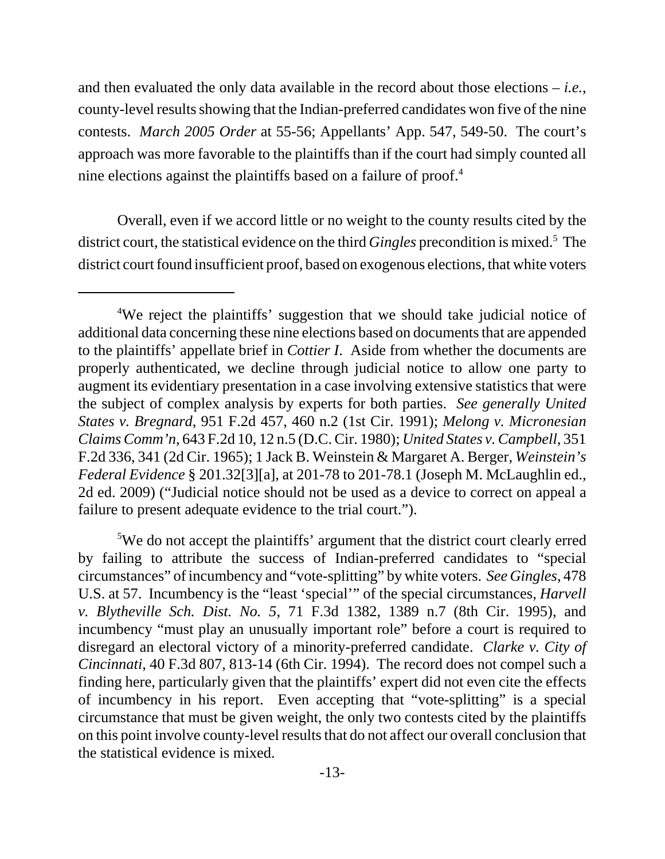and then evaluated the only data available in the record about those elections – *i.e.*, county-level results showing that the Indian-preferred candidates won five of the nine contests. *March 2005 Order* at 55-56; Appellants' App. 547, 549-50. The court's approach was more favorable to the plaintiffs than if the court had simply counted all nine elections against the plaintiffs based on a failure of proof.4

Overall, even if we accord little or no weight to the county results cited by the district court, the statistical evidence on the third *Gingles* precondition is mixed.<sup>5</sup> The district court found insufficient proof, based on exogenous elections, that white voters

<sup>&</sup>lt;sup>4</sup>We reject the plaintiffs' suggestion that we should take judicial notice of additional data concerning these nine elections based on documents that are appended to the plaintiffs' appellate brief in *Cottier I*. Aside from whether the documents are properly authenticated, we decline through judicial notice to allow one party to augment its evidentiary presentation in a case involving extensive statistics that were the subject of complex analysis by experts for both parties. *See generally United States v. Bregnard*, 951 F.2d 457, 460 n.2 (1st Cir. 1991); *Melong v. Micronesian Claims Comm'n*, 643 F.2d 10, 12 n.5 (D.C. Cir. 1980); *United States v. Campbell*, 351 F.2d 336, 341 (2d Cir. 1965); 1 Jack B. Weinstein & Margaret A. Berger, *Weinstein's Federal Evidence* § 201.32[3][a], at 201-78 to 201-78.1 (Joseph M. McLaughlin ed., 2d ed. 2009) ("Judicial notice should not be used as a device to correct on appeal a failure to present adequate evidence to the trial court.").

<sup>&</sup>lt;sup>5</sup>We do not accept the plaintiffs' argument that the district court clearly erred by failing to attribute the success of Indian-preferred candidates to "special circumstances" of incumbency and "vote-splitting" by white voters. *See Gingles*, 478 U.S. at 57. Incumbency is the "least 'special'" of the special circumstances, *Harvell v. Blytheville Sch. Dist. No. 5*, 71 F.3d 1382, 1389 n.7 (8th Cir. 1995), and incumbency "must play an unusually important role" before a court is required to disregard an electoral victory of a minority-preferred candidate. *Clarke v. City of Cincinnati*, 40 F.3d 807, 813-14 (6th Cir. 1994). The record does not compel such a finding here, particularly given that the plaintiffs' expert did not even cite the effects of incumbency in his report. Even accepting that "vote-splitting" is a special circumstance that must be given weight, the only two contests cited by the plaintiffs on this point involve county-level results that do not affect our overall conclusion that the statistical evidence is mixed.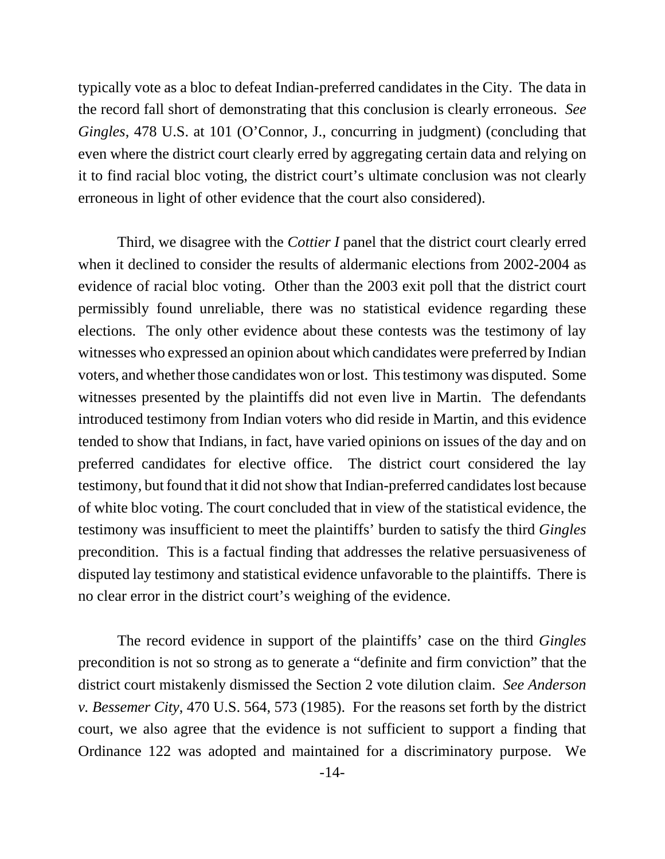typically vote as a bloc to defeat Indian-preferred candidates in the City. The data in the record fall short of demonstrating that this conclusion is clearly erroneous. *See Gingles*, 478 U.S. at 101 (O'Connor, J., concurring in judgment) (concluding that even where the district court clearly erred by aggregating certain data and relying on it to find racial bloc voting, the district court's ultimate conclusion was not clearly erroneous in light of other evidence that the court also considered).

Third, we disagree with the *Cottier I* panel that the district court clearly erred when it declined to consider the results of aldermanic elections from 2002-2004 as evidence of racial bloc voting. Other than the 2003 exit poll that the district court permissibly found unreliable, there was no statistical evidence regarding these elections. The only other evidence about these contests was the testimony of lay witnesses who expressed an opinion about which candidates were preferred by Indian voters, and whether those candidates won or lost. This testimony was disputed. Some witnesses presented by the plaintiffs did not even live in Martin. The defendants introduced testimony from Indian voters who did reside in Martin, and this evidence tended to show that Indians, in fact, have varied opinions on issues of the day and on preferred candidates for elective office. The district court considered the lay testimony, but found that it did not show that Indian-preferred candidates lost because of white bloc voting. The court concluded that in view of the statistical evidence, the testimony was insufficient to meet the plaintiffs' burden to satisfy the third *Gingles* precondition. This is a factual finding that addresses the relative persuasiveness of disputed lay testimony and statistical evidence unfavorable to the plaintiffs. There is no clear error in the district court's weighing of the evidence.

The record evidence in support of the plaintiffs' case on the third *Gingles* precondition is not so strong as to generate a "definite and firm conviction" that the district court mistakenly dismissed the Section 2 vote dilution claim. *See Anderson v. Bessemer City*, 470 U.S. 564, 573 (1985). For the reasons set forth by the district court, we also agree that the evidence is not sufficient to support a finding that Ordinance 122 was adopted and maintained for a discriminatory purpose. We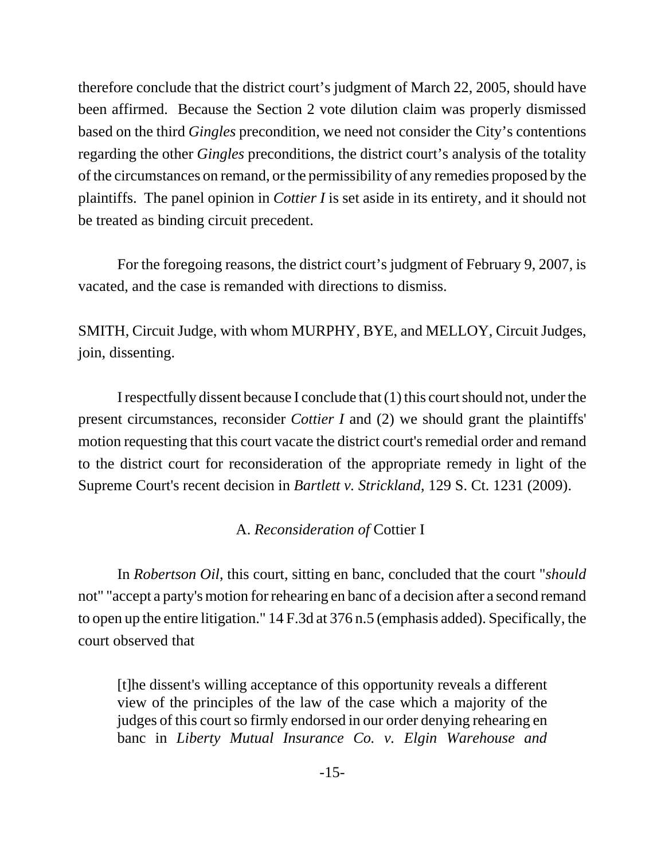therefore conclude that the district court's judgment of March 22, 2005, should have been affirmed. Because the Section 2 vote dilution claim was properly dismissed based on the third *Gingles* precondition, we need not consider the City's contentions regarding the other *Gingles* preconditions, the district court's analysis of the totality of the circumstances on remand, or the permissibility of any remedies proposed by the plaintiffs. The panel opinion in *Cottier I* is set aside in its entirety, and it should not be treated as binding circuit precedent.

For the foregoing reasons, the district court's judgment of February 9, 2007, is vacated, and the case is remanded with directions to dismiss.

SMITH, Circuit Judge, with whom MURPHY, BYE, and MELLOY, Circuit Judges, join, dissenting.

I respectfully dissent because I conclude that (1) this court should not, under the present circumstances, reconsider *Cottier I* and (2) we should grant the plaintiffs' motion requesting that this court vacate the district court's remedial order and remand to the district court for reconsideration of the appropriate remedy in light of the Supreme Court's recent decision in *Bartlett v. Strickland*, 129 S. Ct. 1231 (2009).

# A. *Reconsideration of* Cottier I

In *Robertson Oil*, this court, sitting en banc, concluded that the court "*should* not" "accept a party's motion for rehearing en banc of a decision after a second remand to open up the entire litigation." 14 F.3d at 376 n.5 (emphasis added). Specifically, the court observed that

[t]he dissent's willing acceptance of this opportunity reveals a different view of the principles of the law of the case which a majority of the judges of this court so firmly endorsed in our order denying rehearing en banc in *Liberty Mutual Insurance Co. v. Elgin Warehouse and*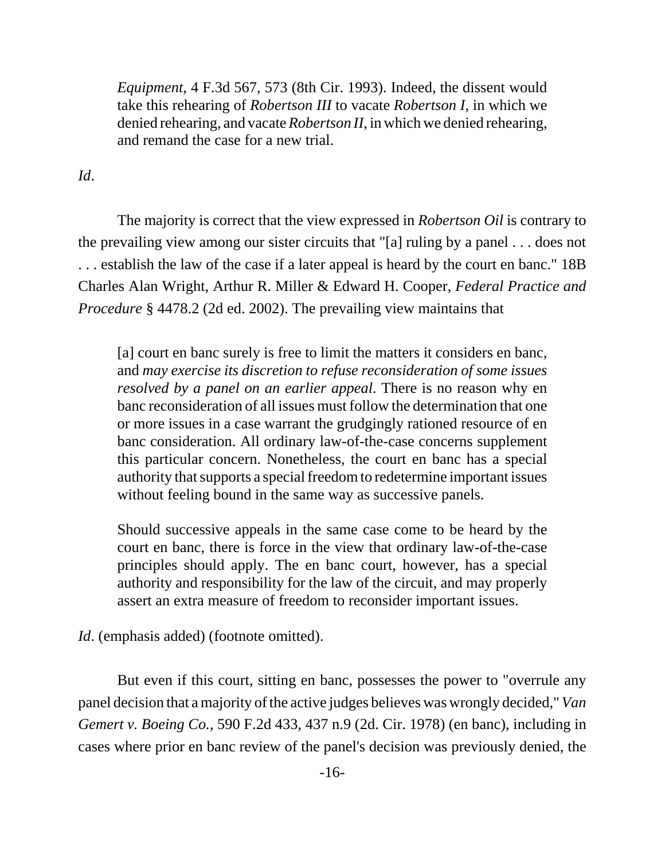*Equipment*, 4 F.3d 567, 573 (8th Cir. 1993). Indeed, the dissent would take this rehearing of *Robertson III* to vacate *Robertson I*, in which we denied rehearing, and vacate *Robertson II*, in which we denied rehearing, and remand the case for a new trial.

*Id*.

The majority is correct that the view expressed in *Robertson Oil* is contrary to the prevailing view among our sister circuits that "[a] ruling by a panel . . . does not . . . establish the law of the case if a later appeal is heard by the court en banc." 18B Charles Alan Wright, Arthur R. Miller & Edward H. Cooper, *Federal Practice and Procedure* § 4478.2 (2d ed. 2002). The prevailing view maintains that

[a] court en banc surely is free to limit the matters it considers en banc, and *may exercise its discretion to refuse reconsideration of some issues resolved by a panel on an earlier appeal*. There is no reason why en banc reconsideration of all issues must follow the determination that one or more issues in a case warrant the grudgingly rationed resource of en banc consideration. All ordinary law-of-the-case concerns supplement this particular concern. Nonetheless, the court en banc has a special authority that supports a special freedom to redetermine important issues without feeling bound in the same way as successive panels.

Should successive appeals in the same case come to be heard by the court en banc, there is force in the view that ordinary law-of-the-case principles should apply. The en banc court, however, has a special authority and responsibility for the law of the circuit, and may properly assert an extra measure of freedom to reconsider important issues.

*Id*. (emphasis added) (footnote omitted).

But even if this court, sitting en banc, possesses the power to "overrule any panel decision that a majority of the active judges believes was wrongly decided," *Van Gemert v. Boeing Co.*, 590 F.2d 433, 437 n.9 (2d. Cir. 1978) (en banc), including in cases where prior en banc review of the panel's decision was previously denied, the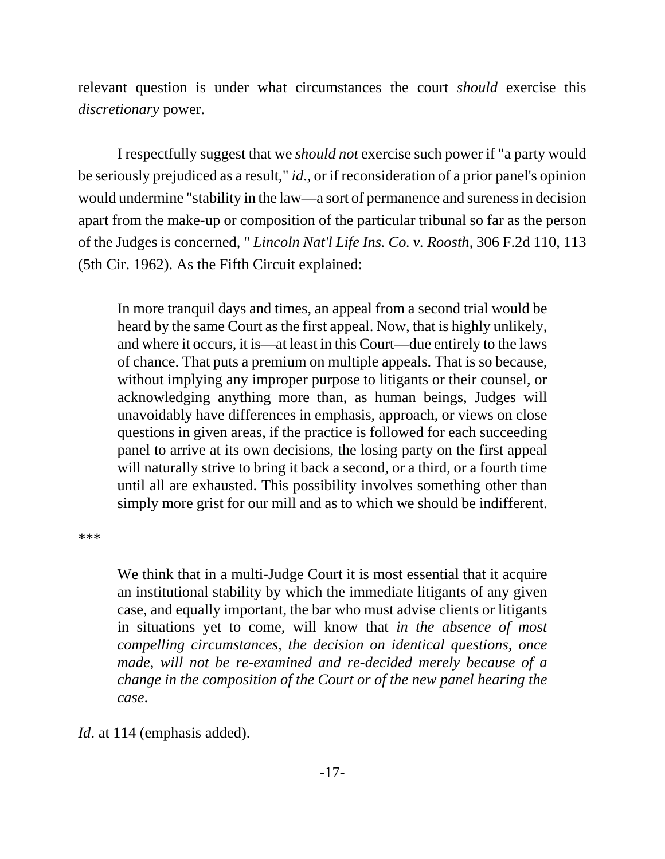relevant question is under what circumstances the court *should* exercise this *discretionary* power.

I respectfully suggest that we *should not* exercise such power if "a party would be seriously prejudiced as a result," *id*., or if reconsideration of a prior panel's opinion would undermine "stability in the law—a sort of permanence and sureness in decision apart from the make-up or composition of the particular tribunal so far as the person of the Judges is concerned, " *Lincoln Nat'l Life Ins. Co. v. Roosth*, 306 F.2d 110, 113 (5th Cir. 1962). As the Fifth Circuit explained:

In more tranquil days and times, an appeal from a second trial would be heard by the same Court as the first appeal. Now, that is highly unlikely, and where it occurs, it is—at least in this Court—due entirely to the laws of chance. That puts a premium on multiple appeals. That is so because, without implying any improper purpose to litigants or their counsel, or acknowledging anything more than, as human beings, Judges will unavoidably have differences in emphasis, approach, or views on close questions in given areas, if the practice is followed for each succeeding panel to arrive at its own decisions, the losing party on the first appeal will naturally strive to bring it back a second, or a third, or a fourth time until all are exhausted. This possibility involves something other than simply more grist for our mill and as to which we should be indifferent.

\*\*\*

We think that in a multi-Judge Court it is most essential that it acquire an institutional stability by which the immediate litigants of any given case, and equally important, the bar who must advise clients or litigants in situations yet to come, will know that *in the absence of most compelling circumstances, the decision on identical questions, once made, will not be re-examined and re-decided merely because of a change in the composition of the Court or of the new panel hearing the case*.

*Id.* at 114 (emphasis added).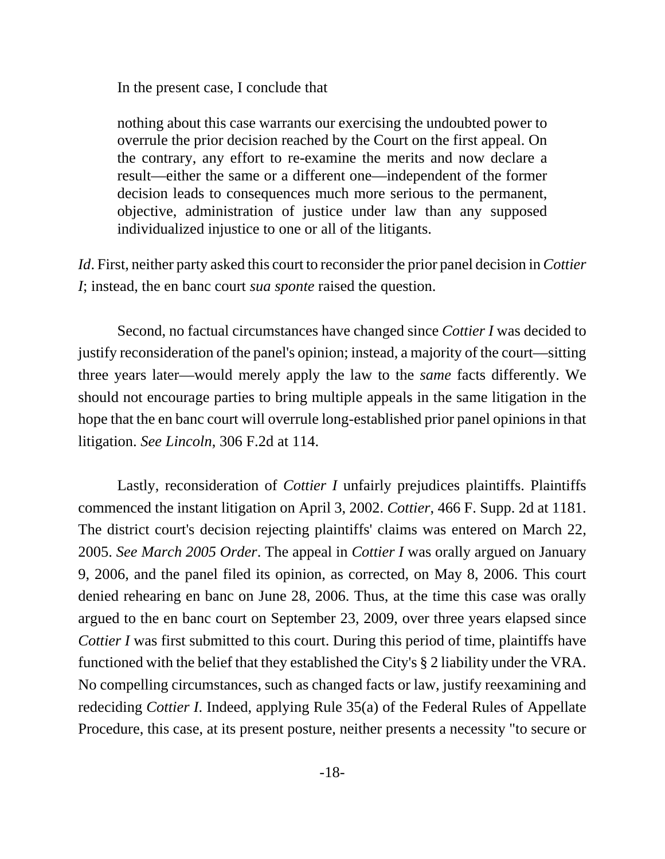In the present case, I conclude that

nothing about this case warrants our exercising the undoubted power to overrule the prior decision reached by the Court on the first appeal. On the contrary, any effort to re-examine the merits and now declare a result—either the same or a different one—independent of the former decision leads to consequences much more serious to the permanent, objective, administration of justice under law than any supposed individualized injustice to one or all of the litigants.

*Id*. First, neither party asked this court to reconsider the prior panel decision in *Cottier I*; instead, the en banc court *sua sponte* raised the question.

Second, no factual circumstances have changed since *Cottier I* was decided to justify reconsideration of the panel's opinion; instead, a majority of the court—sitting three years later—would merely apply the law to the *same* facts differently. We should not encourage parties to bring multiple appeals in the same litigation in the hope that the en banc court will overrule long-established prior panel opinions in that litigation. *See Lincoln*, 306 F.2d at 114.

Lastly, reconsideration of *Cottier I* unfairly prejudices plaintiffs. Plaintiffs commenced the instant litigation on April 3, 2002. *Cottier*, 466 F. Supp. 2d at 1181. The district court's decision rejecting plaintiffs' claims was entered on March 22, 2005. *See March 2005 Order*. The appeal in *Cottier I* was orally argued on January 9, 2006, and the panel filed its opinion, as corrected, on May 8, 2006. This court denied rehearing en banc on June 28, 2006. Thus, at the time this case was orally argued to the en banc court on September 23, 2009, over three years elapsed since *Cottier I* was first submitted to this court. During this period of time, plaintiffs have functioned with the belief that they established the City's § 2 liability under the VRA. No compelling circumstances, such as changed facts or law, justify reexamining and redeciding *Cottier I*. Indeed, applying Rule 35(a) of the Federal Rules of Appellate Procedure, this case, at its present posture, neither presents a necessity "to secure or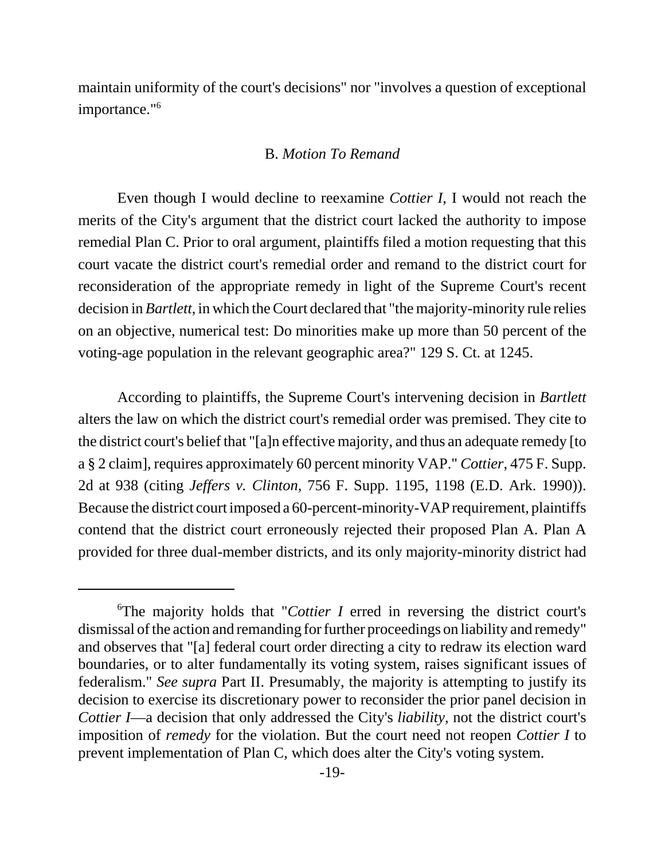maintain uniformity of the court's decisions" nor "involves a question of exceptional importance."<sup>6</sup>

#### B. *Motion To Remand*

Even though I would decline to reexamine *Cottier I*, I would not reach the merits of the City's argument that the district court lacked the authority to impose remedial Plan C. Prior to oral argument, plaintiffs filed a motion requesting that this court vacate the district court's remedial order and remand to the district court for reconsideration of the appropriate remedy in light of the Supreme Court's recent decision in *Bartlett*, in which the Court declared that "the majority-minority rule relies on an objective, numerical test: Do minorities make up more than 50 percent of the voting-age population in the relevant geographic area?" 129 S. Ct. at 1245.

According to plaintiffs, the Supreme Court's intervening decision in *Bartlett* alters the law on which the district court's remedial order was premised. They cite to the district court's belief that "[a]n effective majority, and thus an adequate remedy [to a § 2 claim], requires approximately 60 percent minority VAP." *Cottier*, 475 F. Supp. 2d at 938 (citing *Jeffers v. Clinton*, 756 F. Supp. 1195, 1198 (E.D. Ark. 1990)). Because the district court imposed a 60-percent-minority-VAP requirement, plaintiffs contend that the district court erroneously rejected their proposed Plan A. Plan A provided for three dual-member districts, and its only majority-minority district had

<sup>6</sup> The majority holds that "*Cottier I* erred in reversing the district court's dismissal of the action and remanding for further proceedings on liability and remedy" and observes that "[a] federal court order directing a city to redraw its election ward boundaries, or to alter fundamentally its voting system, raises significant issues of federalism." *See supra* Part II. Presumably, the majority is attempting to justify its decision to exercise its discretionary power to reconsider the prior panel decision in *Cottier I*—a decision that only addressed the City's *liability*, not the district court's imposition of *remedy* for the violation. But the court need not reopen *Cottier I* to prevent implementation of Plan C, which does alter the City's voting system.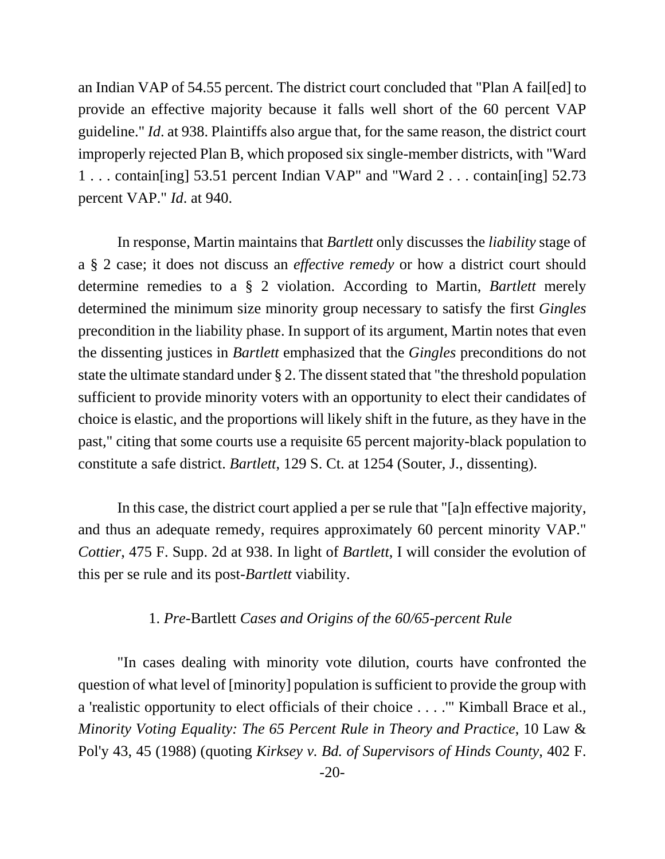an Indian VAP of 54.55 percent. The district court concluded that "Plan A fail[ed] to provide an effective majority because it falls well short of the 60 percent VAP guideline." *Id*. at 938. Plaintiffs also argue that, for the same reason, the district court improperly rejected Plan B, which proposed six single-member districts, with "Ward 1 . . . contain[ing] 53.51 percent Indian VAP" and "Ward 2 . . . contain[ing] 52.73 percent VAP." *Id*. at 940.

In response, Martin maintains that *Bartlett* only discusses the *liability* stage of a § 2 case; it does not discuss an *effective remedy* or how a district court should determine remedies to a § 2 violation. According to Martin, *Bartlett* merely determined the minimum size minority group necessary to satisfy the first *Gingles* precondition in the liability phase. In support of its argument, Martin notes that even the dissenting justices in *Bartlett* emphasized that the *Gingles* preconditions do not state the ultimate standard under § 2. The dissent stated that "the threshold population sufficient to provide minority voters with an opportunity to elect their candidates of choice is elastic, and the proportions will likely shift in the future, as they have in the past," citing that some courts use a requisite 65 percent majority-black population to constitute a safe district. *Bartlett*, 129 S. Ct. at 1254 (Souter, J., dissenting).

In this case, the district court applied a per se rule that "[a]n effective majority, and thus an adequate remedy, requires approximately 60 percent minority VAP." *Cottier*, 475 F. Supp. 2d at 938. In light of *Bartlett*, I will consider the evolution of this per se rule and its post-*Bartlett* viability.

#### 1. *Pre-*Bartlett *Cases and Origins of the 60/65-percent Rule*

"In cases dealing with minority vote dilution, courts have confronted the question of what level of [minority] population is sufficient to provide the group with a 'realistic opportunity to elect officials of their choice . . . .'" Kimball Brace et al.*, Minority Voting Equality: The 65 Percent Rule in Theory and Practice*, 10 Law & Pol'y 43, 45 (1988) (quoting *Kirksey v. Bd. of Supervisors of Hinds County*, 402 F.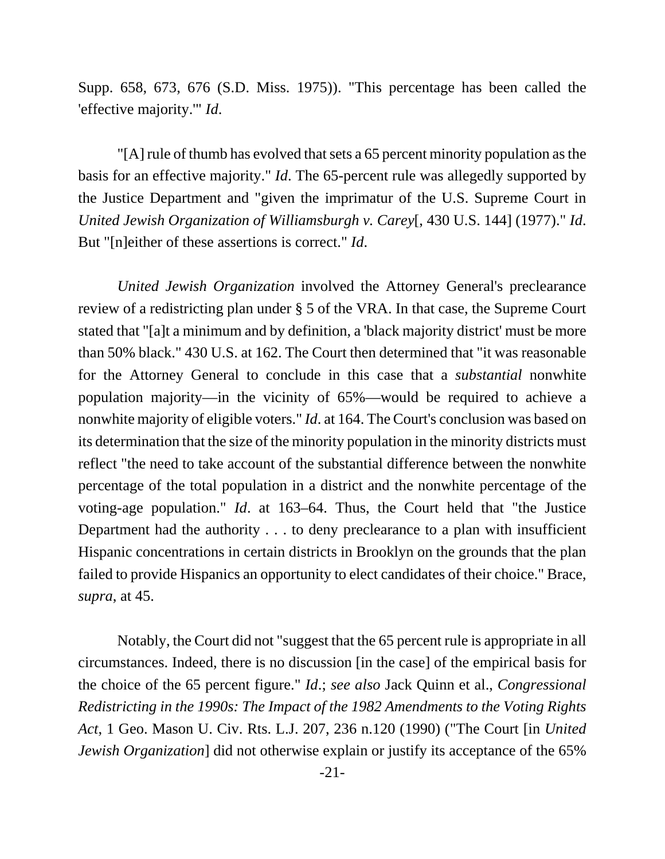Supp. 658, 673, 676 (S.D. Miss. 1975)). "This percentage has been called the 'effective majority.'" *Id*.

"[A] rule of thumb has evolved that sets a 65 percent minority population as the basis for an effective majority." *Id*. The 65-percent rule was allegedly supported by the Justice Department and "given the imprimatur of the U.S. Supreme Court in *United Jewish Organization of Williamsburgh v. Carey*[, 430 U.S. 144] (1977)." *Id*. But "[n]either of these assertions is correct." *Id*.

*United Jewish Organization* involved the Attorney General's preclearance review of a redistricting plan under § 5 of the VRA. In that case, the Supreme Court stated that "[a]t a minimum and by definition, a 'black majority district' must be more than 50% black." 430 U.S. at 162. The Court then determined that "it was reasonable for the Attorney General to conclude in this case that a *substantial* nonwhite population majority—in the vicinity of 65%—would be required to achieve a nonwhite majority of eligible voters." *Id*. at 164. The Court's conclusion was based on its determination that the size of the minority population in the minority districts must reflect "the need to take account of the substantial difference between the nonwhite percentage of the total population in a district and the nonwhite percentage of the voting-age population." *Id*. at 163–64. Thus, the Court held that "the Justice Department had the authority . . . to deny preclearance to a plan with insufficient Hispanic concentrations in certain districts in Brooklyn on the grounds that the plan failed to provide Hispanics an opportunity to elect candidates of their choice." Brace, *supra*, at 45.

Notably, the Court did not "suggest that the 65 percent rule is appropriate in all circumstances. Indeed, there is no discussion [in the case] of the empirical basis for the choice of the 65 percent figure." *Id*.; *see also* Jack Quinn et al., *Congressional Redistricting in the 1990s: The Impact of the 1982 Amendments to the Voting Rights Act*, 1 Geo. Mason U. Civ. Rts. L.J. 207, 236 n.120 (1990) ("The Court [in *United Jewish Organization*] did not otherwise explain or justify its acceptance of the 65%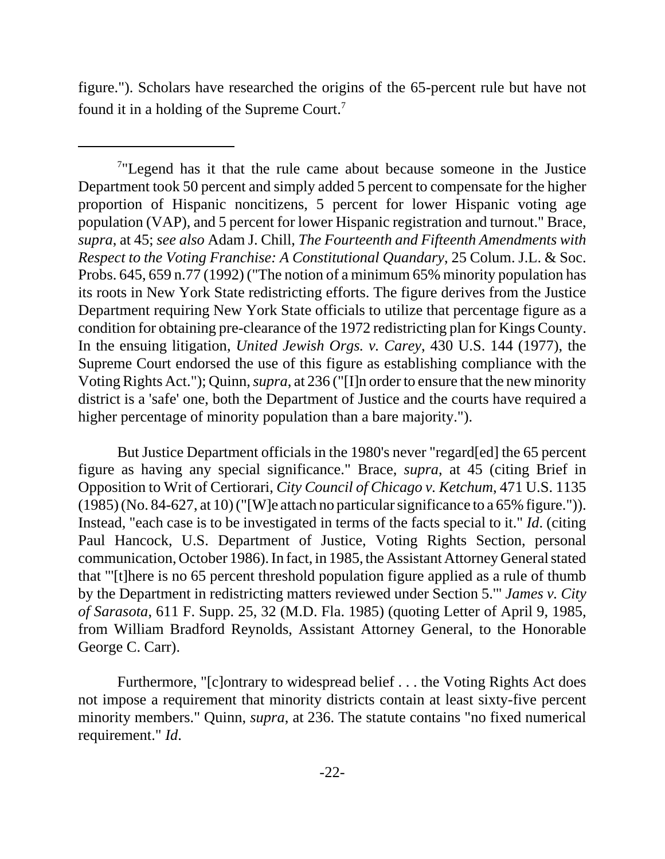figure."). Scholars have researched the origins of the 65-percent rule but have not found it in a holding of the Supreme Court.7

<sup>7</sup>"Legend has it that the rule came about because someone in the Justice Department took 50 percent and simply added 5 percent to compensate for the higher proportion of Hispanic noncitizens, 5 percent for lower Hispanic voting age population (VAP), and 5 percent for lower Hispanic registration and turnout." Brace, *supra*, at 45; *see also* Adam J. Chill, *The Fourteenth and Fifteenth Amendments with Respect to the Voting Franchise: A Constitutional Quandary*, 25 Colum. J.L. & Soc. Probs. 645, 659 n.77 (1992) ("The notion of a minimum 65% minority population has its roots in New York State redistricting efforts. The figure derives from the Justice Department requiring New York State officials to utilize that percentage figure as a condition for obtaining pre-clearance of the 1972 redistricting plan for Kings County. In the ensuing litigation, *United Jewish Orgs. v. Carey*, 430 U.S. 144 (1977), the Supreme Court endorsed the use of this figure as establishing compliance with the Voting Rights Act."); Quinn, *supra*, at 236 ("[I]n order to ensure that the new minority district is a 'safe' one, both the Department of Justice and the courts have required a higher percentage of minority population than a bare majority.").

But Justice Department officials in the 1980's never "regard[ed] the 65 percent figure as having any special significance." Brace, *supra*, at 45 (citing Brief in Opposition to Writ of Certiorari, *City Council of Chicago v. Ketchum*, 471 U.S. 1135 (1985) (No. 84-627, at 10) ("[W]e attach no particular significance to a 65% figure.")). Instead, "each case is to be investigated in terms of the facts special to it." *Id*. (citing Paul Hancock, U.S. Department of Justice, Voting Rights Section, personal communication, October 1986). In fact, in 1985, the Assistant Attorney General stated that "'[t]here is no 65 percent threshold population figure applied as a rule of thumb by the Department in redistricting matters reviewed under Section 5.'" *James v. City of Sarasota*, 611 F. Supp. 25, 32 (M.D. Fla. 1985) (quoting Letter of April 9, 1985, from William Bradford Reynolds, Assistant Attorney General, to the Honorable George C. Carr).

Furthermore, "[c]ontrary to widespread belief . . . the Voting Rights Act does not impose a requirement that minority districts contain at least sixty-five percent minority members." Quinn, *supra*, at 236. The statute contains "no fixed numerical requirement." *Id*.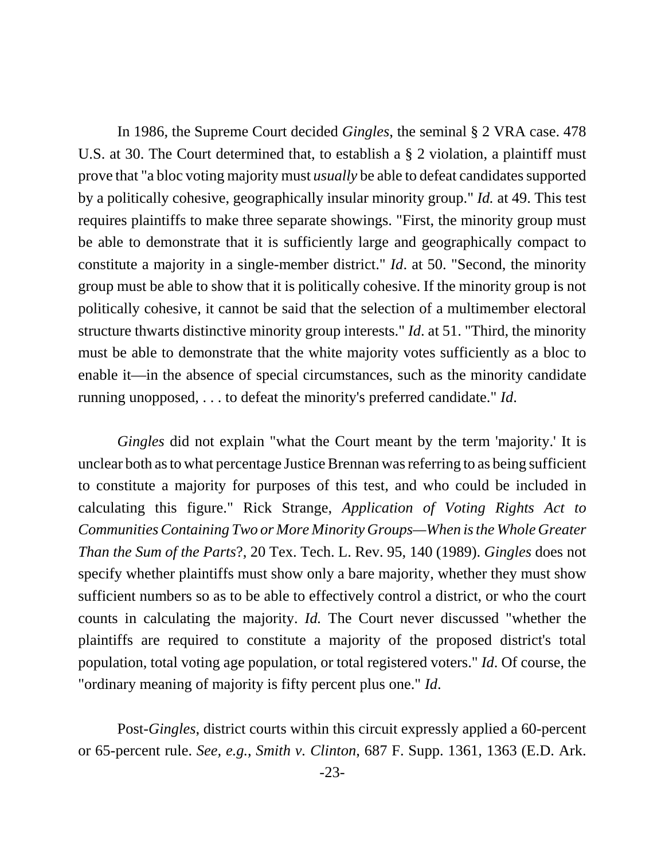In 1986, the Supreme Court decided *Gingles*, the seminal § 2 VRA case. 478 U.S. at 30. The Court determined that, to establish a § 2 violation, a plaintiff must prove that "a bloc voting majority must *usually* be able to defeat candidates supported by a politically cohesive, geographically insular minority group." *Id.* at 49. This test requires plaintiffs to make three separate showings. "First, the minority group must be able to demonstrate that it is sufficiently large and geographically compact to constitute a majority in a single-member district." *Id*. at 50. "Second, the minority group must be able to show that it is politically cohesive. If the minority group is not politically cohesive, it cannot be said that the selection of a multimember electoral structure thwarts distinctive minority group interests." *Id*. at 51. "Third, the minority must be able to demonstrate that the white majority votes sufficiently as a bloc to enable it—in the absence of special circumstances, such as the minority candidate running unopposed, . . . to defeat the minority's preferred candidate." *Id*.

*Gingles* did not explain "what the Court meant by the term 'majority.' It is unclear both as to what percentage Justice Brennan was referring to as being sufficient to constitute a majority for purposes of this test, and who could be included in calculating this figure." Rick Strange, *Application of Voting Rights Act to Communities Containing Two or More Minority Groups—When is the Whole Greater Than the Sum of the Parts*?, 20 Tex. Tech. L. Rev. 95, 140 (1989). *Gingles* does not specify whether plaintiffs must show only a bare majority, whether they must show sufficient numbers so as to be able to effectively control a district, or who the court counts in calculating the majority. *Id.* The Court never discussed "whether the plaintiffs are required to constitute a majority of the proposed district's total population, total voting age population, or total registered voters." *Id*. Of course, the "ordinary meaning of majority is fifty percent plus one." *Id*.

Post-*Gingles*, district courts within this circuit expressly applied a 60-percent or 65-percent rule. *See, e.g.*, *Smith v. Clinton*, 687 F. Supp. 1361, 1363 (E.D. Ark.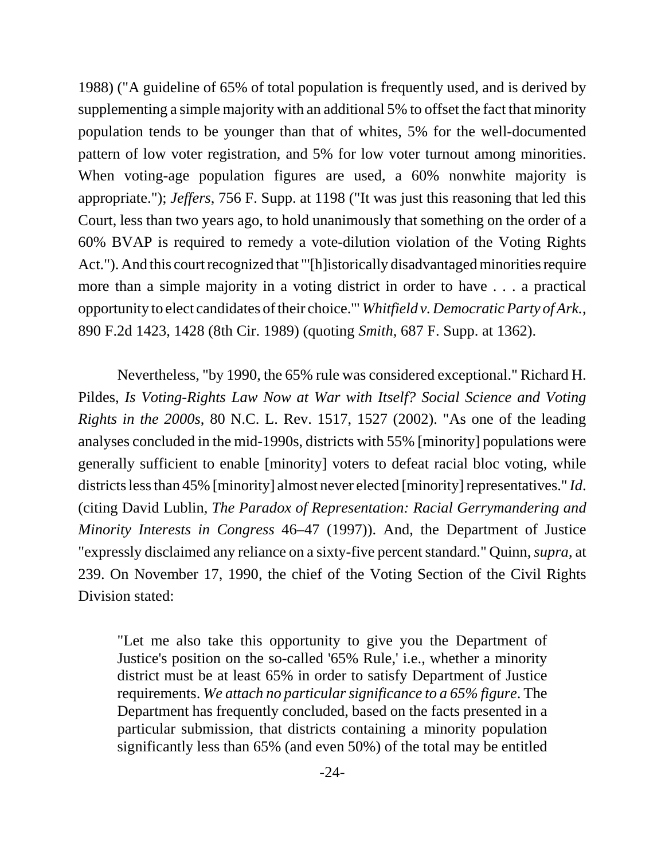1988) ("A guideline of 65% of total population is frequently used, and is derived by supplementing a simple majority with an additional 5% to offset the fact that minority population tends to be younger than that of whites, 5% for the well-documented pattern of low voter registration, and 5% for low voter turnout among minorities. When voting-age population figures are used, a 60% nonwhite majority is appropriate."); *Jeffers*, 756 F. Supp. at 1198 ("It was just this reasoning that led this Court, less than two years ago, to hold unanimously that something on the order of a 60% BVAP is required to remedy a vote-dilution violation of the Voting Rights Act."). And this court recognized that "'[h]istorically disadvantaged minorities require more than a simple majority in a voting district in order to have . . . a practical opportunity to elect candidates of their choice.'" *Whitfield v. Democratic Party of Ark.*, 890 F.2d 1423, 1428 (8th Cir. 1989) (quoting *Smith*, 687 F. Supp. at 1362).

Nevertheless, "by 1990, the 65% rule was considered exceptional." Richard H. Pildes, *Is Voting-Rights Law Now at War with Itself? Social Science and Voting Rights in the 2000s*, 80 N.C. L. Rev. 1517, 1527 (2002). "As one of the leading analyses concluded in the mid-1990s, districts with 55% [minority] populations were generally sufficient to enable [minority] voters to defeat racial bloc voting, while districts less than 45% [minority] almost never elected [minority] representatives." *Id*. (citing David Lublin, *The Paradox of Representation: Racial Gerrymandering and Minority Interests in Congress* 46–47 (1997)). And, the Department of Justice "expressly disclaimed any reliance on a sixty-five percent standard." Quinn, *supra*, at 239. On November 17, 1990, the chief of the Voting Section of the Civil Rights Division stated:

"Let me also take this opportunity to give you the Department of Justice's position on the so-called '65% Rule,' i.e., whether a minority district must be at least 65% in order to satisfy Department of Justice requirements. *We attach no particular significance to a 65% figure*. The Department has frequently concluded, based on the facts presented in a particular submission, that districts containing a minority population significantly less than 65% (and even 50%) of the total may be entitled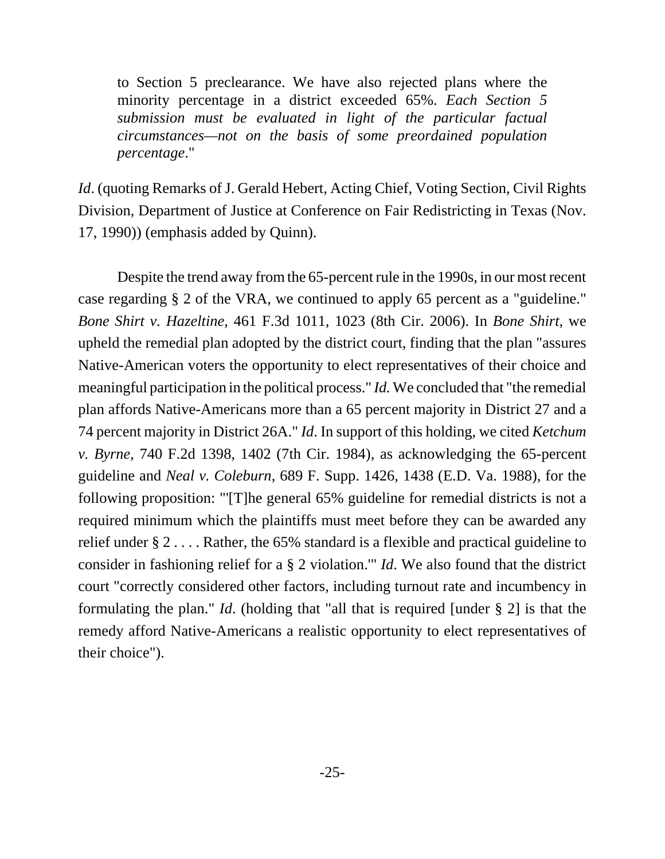to Section 5 preclearance. We have also rejected plans where the minority percentage in a district exceeded 65%. *Each Section 5 submission must be evaluated in light of the particular factual circumstances—not on the basis of some preordained population percentage*."

*Id*. (quoting Remarks of J. Gerald Hebert, Acting Chief, Voting Section, Civil Rights Division, Department of Justice at Conference on Fair Redistricting in Texas (Nov. 17, 1990)) (emphasis added by Quinn).

Despite the trend away from the 65-percent rule in the 1990s, in our most recent case regarding § 2 of the VRA, we continued to apply 65 percent as a "guideline." *Bone Shirt v. Hazeltine*, 461 F.3d 1011, 1023 (8th Cir. 2006). In *Bone Shirt*, we upheld the remedial plan adopted by the district court, finding that the plan "assures Native-American voters the opportunity to elect representatives of their choice and meaningful participation in the political process." *Id.* We concluded that "the remedial plan affords Native-Americans more than a 65 percent majority in District 27 and a 74 percent majority in District 26A." *Id*. In support of this holding, we cited *Ketchum v. Byrne*, 740 F.2d 1398, 1402 (7th Cir. 1984), as acknowledging the 65-percent guideline and *Neal v. Coleburn*, 689 F. Supp. 1426, 1438 (E.D. Va. 1988), for the following proposition: "'[T]he general 65% guideline for remedial districts is not a required minimum which the plaintiffs must meet before they can be awarded any relief under § 2 . . . . Rather, the 65% standard is a flexible and practical guideline to consider in fashioning relief for a § 2 violation.'" *Id*. We also found that the district court "correctly considered other factors, including turnout rate and incumbency in formulating the plan." *Id*. (holding that "all that is required [under § 2] is that the remedy afford Native-Americans a realistic opportunity to elect representatives of their choice").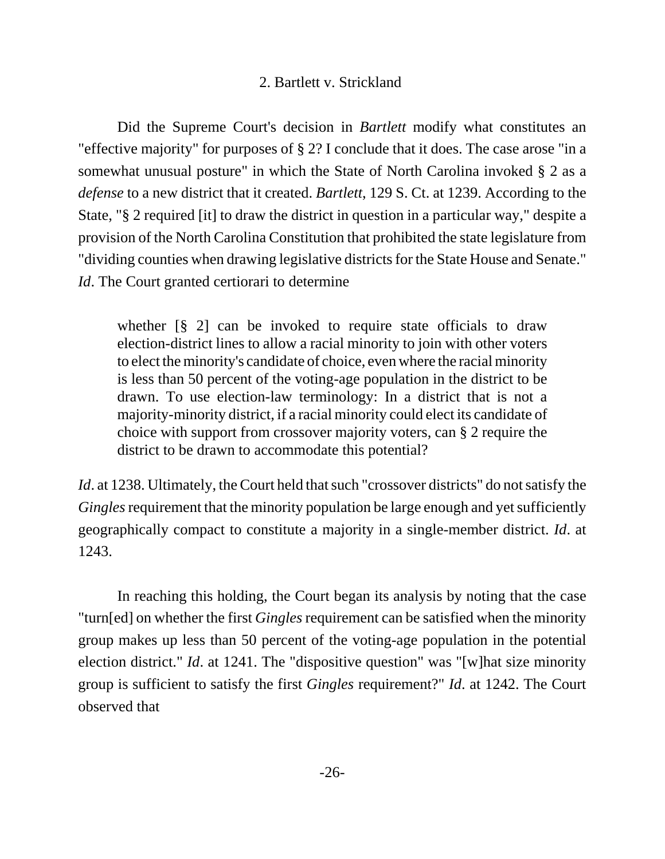### 2. Bartlett v. Strickland

Did the Supreme Court's decision in *Bartlett* modify what constitutes an "effective majority" for purposes of § 2? I conclude that it does. The case arose "in a somewhat unusual posture" in which the State of North Carolina invoked § 2 as a *defense* to a new district that it created. *Bartlett*, 129 S. Ct. at 1239. According to the State, "§ 2 required [it] to draw the district in question in a particular way," despite a provision of the North Carolina Constitution that prohibited the state legislature from "dividing counties when drawing legislative districts for the State House and Senate." *Id*. The Court granted certiorari to determine

whether [§ 2] can be invoked to require state officials to draw election-district lines to allow a racial minority to join with other voters to elect the minority's candidate of choice, even where the racial minority is less than 50 percent of the voting-age population in the district to be drawn. To use election-law terminology: In a district that is not a majority-minority district, if a racial minority could elect its candidate of choice with support from crossover majority voters, can § 2 require the district to be drawn to accommodate this potential?

*Id.* at 1238. Ultimately, the Court held that such "crossover districts" do not satisfy the *Gingles* requirement that the minority population be large enough and yet sufficiently geographically compact to constitute a majority in a single-member district. *Id*. at 1243.

In reaching this holding, the Court began its analysis by noting that the case "turn[ed] on whether the first *Gingles* requirement can be satisfied when the minority group makes up less than 50 percent of the voting-age population in the potential election district." *Id*. at 1241. The "dispositive question" was "[w]hat size minority group is sufficient to satisfy the first *Gingles* requirement?" *Id*. at 1242. The Court observed that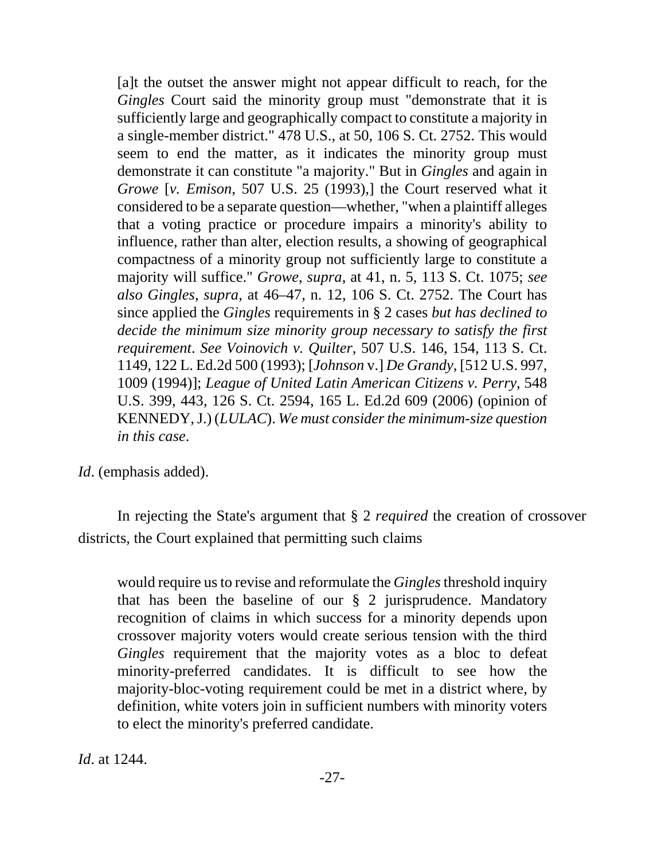[a]t the outset the answer might not appear difficult to reach, for the *Gingles* Court said the minority group must "demonstrate that it is sufficiently large and geographically compact to constitute a majority in a single-member district." 478 U.S., at 50, 106 S. Ct. 2752. This would seem to end the matter, as it indicates the minority group must demonstrate it can constitute "a majority." But in *Gingles* and again in *Growe* [*v. Emison*, 507 U.S. 25 (1993),] the Court reserved what it considered to be a separate question—whether, "when a plaintiff alleges that a voting practice or procedure impairs a minority's ability to influence, rather than alter, election results, a showing of geographical compactness of a minority group not sufficiently large to constitute a majority will suffice." *Growe*, *supra*, at 41, n. 5, 113 S. Ct. 1075; *see also Gingles*, *supra*, at 46–47, n. 12, 106 S. Ct. 2752. The Court has since applied the *Gingles* requirements in § 2 cases *but has declined to decide the minimum size minority group necessary to satisfy the first requirement*. *See Voinovich v. Quilter*, 507 U.S. 146, 154, 113 S. Ct. 1149, 122 L. Ed.2d 500 (1993); [*Johnson* v.] *De Grandy*, [512 U.S. 997, 1009 (1994)]; *League of United Latin American Citizens v. Perry*, 548 U.S. 399, 443, 126 S. Ct. 2594, 165 L. Ed.2d 609 (2006) (opinion of KENNEDY, J.) (*LULAC*). *We must consider the minimum-size question in this case*.

*Id*. (emphasis added).

In rejecting the State's argument that § 2 *required* the creation of crossover districts, the Court explained that permitting such claims

would require us to revise and reformulate the *Gingles* threshold inquiry that has been the baseline of our § 2 jurisprudence. Mandatory recognition of claims in which success for a minority depends upon crossover majority voters would create serious tension with the third *Gingles* requirement that the majority votes as a bloc to defeat minority-preferred candidates. It is difficult to see how the majority-bloc-voting requirement could be met in a district where, by definition, white voters join in sufficient numbers with minority voters to elect the minority's preferred candidate.

*Id*. at 1244.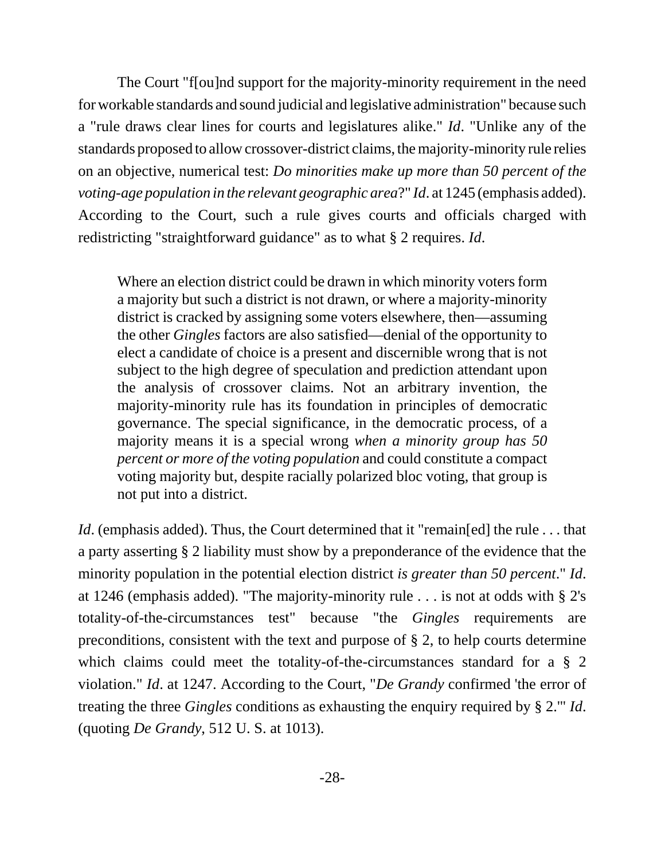The Court "f[ou]nd support for the majority-minority requirement in the need for workable standards and sound judicial and legislative administration" because such a "rule draws clear lines for courts and legislatures alike." *Id*. "Unlike any of the standards proposed to allow crossover-district claims, the majority-minority rule relies on an objective, numerical test: *Do minorities make up more than 50 percent of the voting-age population in the relevant geographic area*?" *Id*. at 1245 (emphasis added). According to the Court, such a rule gives courts and officials charged with redistricting "straightforward guidance" as to what § 2 requires. *Id*.

Where an election district could be drawn in which minority voters form a majority but such a district is not drawn, or where a majority-minority district is cracked by assigning some voters elsewhere, then—assuming the other *Gingles* factors are also satisfied—denial of the opportunity to elect a candidate of choice is a present and discernible wrong that is not subject to the high degree of speculation and prediction attendant upon the analysis of crossover claims. Not an arbitrary invention, the majority-minority rule has its foundation in principles of democratic governance. The special significance, in the democratic process, of a majority means it is a special wrong *when a minority group has 50 percent or more of the voting population* and could constitute a compact voting majority but, despite racially polarized bloc voting, that group is not put into a district.

*Id.* (emphasis added). Thus, the Court determined that it "remain[ed] the rule . . . that a party asserting § 2 liability must show by a preponderance of the evidence that the minority population in the potential election district *is greater than 50 percent*." *Id*. at 1246 (emphasis added). "The majority-minority rule . . . is not at odds with § 2's totality-of-the-circumstances test" because "the *Gingles* requirements are preconditions, consistent with the text and purpose of § 2, to help courts determine which claims could meet the totality-of-the-circumstances standard for a § 2 violation." *Id*. at 1247. According to the Court, "*De Grandy* confirmed 'the error of treating the three *Gingles* conditions as exhausting the enquiry required by § 2.'" *Id*. (quoting *De Grandy*, 512 U. S. at 1013).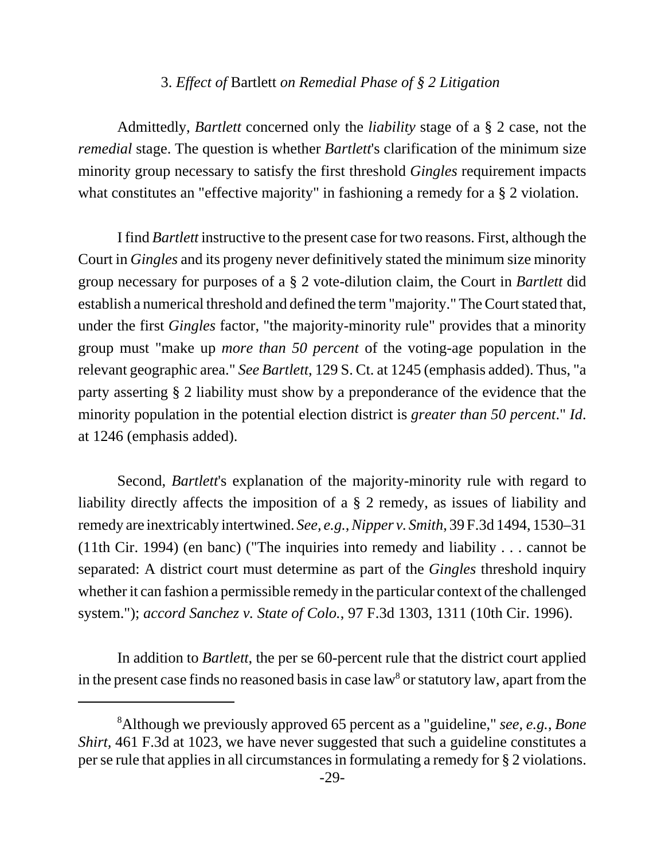### 3. *Effect of* Bartlett *on Remedial Phase of § 2 Litigation*

Admittedly, *Bartlett* concerned only the *liability* stage of a § 2 case, not the *remedial* stage. The question is whether *Bartlett*'s clarification of the minimum size minority group necessary to satisfy the first threshold *Gingles* requirement impacts what constitutes an "effective majority" in fashioning a remedy for a § 2 violation.

I find *Bartlett* instructive to the present case for two reasons. First, although the Court in *Gingles* and its progeny never definitively stated the minimum size minority group necessary for purposes of a § 2 vote-dilution claim, the Court in *Bartlett* did establish a numerical threshold and defined the term "majority." The Court stated that, under the first *Gingles* factor, "the majority-minority rule" provides that a minority group must "make up *more than 50 percent* of the voting-age population in the relevant geographic area." *See Bartlett*, 129 S. Ct. at 1245 (emphasis added). Thus, "a party asserting § 2 liability must show by a preponderance of the evidence that the minority population in the potential election district is *greater than 50 percent*." *Id*. at 1246 (emphasis added).

Second, *Bartlett*'s explanation of the majority-minority rule with regard to liability directly affects the imposition of a § 2 remedy, as issues of liability and remedy are inextricably intertwined. *See, e.g.*, *Nipper v. Smith*, 39 F.3d 1494, 1530–31 (11th Cir. 1994) (en banc) ("The inquiries into remedy and liability . . . cannot be separated: A district court must determine as part of the *Gingles* threshold inquiry whether it can fashion a permissible remedy in the particular context of the challenged system."); *accord Sanchez v. State of Colo.*, 97 F.3d 1303, 1311 (10th Cir. 1996).

In addition to *Bartlett*, the per se 60-percent rule that the district court applied in the present case finds no reasoned basis in case law<sup>8</sup> or statutory law, apart from the

<sup>8</sup> Although we previously approved 65 percent as a "guideline," *see, e.g.*, *Bone Shirt*, 461 F.3d at 1023, we have never suggested that such a guideline constitutes a per se rule that applies in all circumstances in formulating a remedy for § 2 violations.